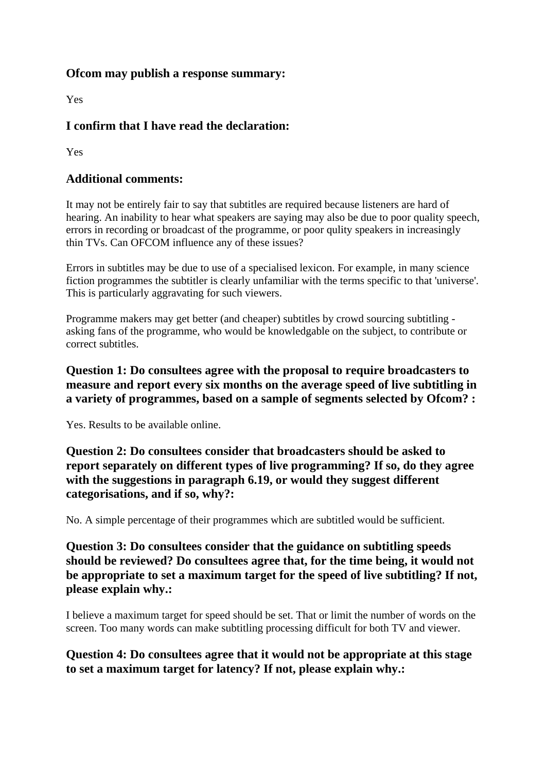#### **Ofcom may publish a response summary:**

Yes

# **I confirm that I have read the declaration:**

Yes

### **Additional comments:**

It may not be entirely fair to say that subtitles are required because listeners are hard of hearing. An inability to hear what speakers are saying may also be due to poor quality speech, errors in recording or broadcast of the programme, or poor qulity speakers in increasingly thin TVs. Can OFCOM influence any of these issues?

Errors in subtitles may be due to use of a specialised lexicon. For example, in many science fiction programmes the subtitler is clearly unfamiliar with the terms specific to that 'universe'. This is particularly aggravating for such viewers.

Programme makers may get better (and cheaper) subtitles by crowd sourcing subtitling asking fans of the programme, who would be knowledgable on the subject, to contribute or correct subtitles.

### **Question 1: Do consultees agree with the proposal to require broadcasters to measure and report every six months on the average speed of live subtitling in a variety of programmes, based on a sample of segments selected by Ofcom? :**

Yes. Results to be available online.

**Question 2: Do consultees consider that broadcasters should be asked to report separately on different types of live programming? If so, do they agree with the suggestions in paragraph 6.19, or would they suggest different categorisations, and if so, why?:**

No. A simple percentage of their programmes which are subtitled would be sufficient.

**Question 3: Do consultees consider that the guidance on subtitling speeds should be reviewed? Do consultees agree that, for the time being, it would not be appropriate to set a maximum target for the speed of live subtitling? If not, please explain why.:**

I believe a maximum target for speed should be set. That or limit the number of words on the screen. Too many words can make subtitling processing difficult for both TV and viewer.

## **Question 4: Do consultees agree that it would not be appropriate at this stage to set a maximum target for latency? If not, please explain why.:**